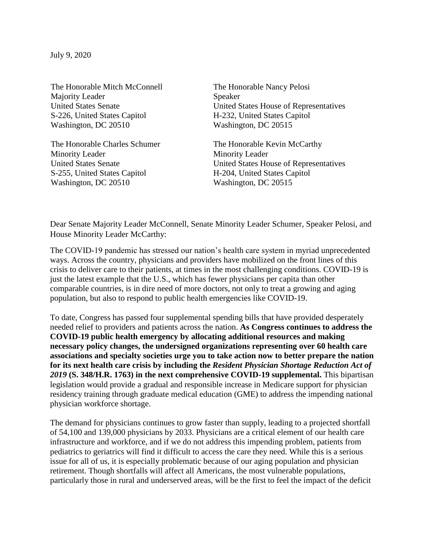The Honorable Mitch McConnell The Honorable Nancy Pelosi Majority Leader Speaker S-226, United States Capitol H-232, United States Capitol Washington, DC 20510 Washington, DC 20515

The Honorable Charles Schumer The Honorable Kevin McCarthy Minority Leader Minority Leader S-255, United States Capitol H-204, United States Capitol Washington, DC 20510 Washington, DC 20515

United States Senate United States House of Representatives

United States Senate United States House of Representatives

Dear Senate Majority Leader McConnell, Senate Minority Leader Schumer, Speaker Pelosi, and House Minority Leader McCarthy:

The COVID-19 pandemic has stressed our nation's health care system in myriad unprecedented ways. Across the country, physicians and providers have mobilized on the front lines of this crisis to deliver care to their patients, at times in the most challenging conditions. COVID-19 is just the latest example that the U.S., which has fewer physicians per capita than other comparable countries, is in dire need of more doctors, not only to treat a growing and aging population, but also to respond to public health emergencies like COVID-19.

To date, Congress has passed four supplemental spending bills that have provided desperately needed relief to providers and patients across the nation. **As Congress continues to address the COVID-19 public health emergency by allocating additional resources and making necessary policy changes, the undersigned organizations representing over 60 health care associations and specialty societies urge you to take action now to better prepare the nation for its next health care crisis by including the** *Resident Physician Shortage Reduction Act of 2019* **(S. 348/H.R. 1763) in the next comprehensive COVID-19 supplemental.** This bipartisan legislation would provide a gradual and responsible increase in Medicare support for physician residency training through graduate medical education (GME) to address the impending national physician workforce shortage.

The demand for physicians continues to grow faster than supply, leading to a projected shortfall of 54,100 and 139,000 physicians by 2033. Physicians are a critical element of our health care infrastructure and workforce, and if we do not address this impending problem, patients from pediatrics to geriatrics will find it difficult to access the care they need. While this is a serious issue for all of us, it is especially problematic because of our aging population and physician retirement. Though shortfalls will affect all Americans, the most vulnerable populations, particularly those in rural and underserved areas, will be the first to feel the impact of the deficit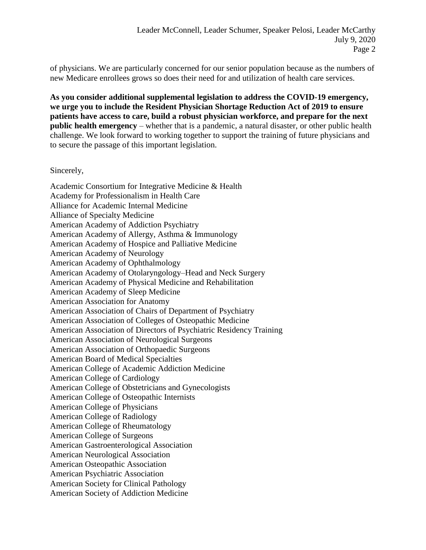of physicians. We are particularly concerned for our senior population because as the numbers of new Medicare enrollees grows so does their need for and utilization of health care services.

**As you consider additional supplemental legislation to address the COVID-19 emergency, we urge you to include the Resident Physician Shortage Reduction Act of 2019 to ensure patients have access to care, build a robust physician workforce, and prepare for the next public health emergency** – whether that is a pandemic, a natural disaster, or other public health challenge. We look forward to working together to support the training of future physicians and to secure the passage of this important legislation.

## Sincerely,

Academic Consortium for Integrative Medicine & Health Academy for Professionalism in Health Care Alliance for Academic Internal Medicine Alliance of Specialty Medicine American Academy of Addiction Psychiatry American Academy of Allergy, Asthma & Immunology American Academy of Hospice and Palliative Medicine American Academy of Neurology American Academy of Ophthalmology American Academy of Otolaryngology–Head and Neck Surgery American Academy of Physical Medicine and Rehabilitation American Academy of Sleep Medicine American Association for Anatomy American Association of Chairs of Department of Psychiatry American Association of Colleges of Osteopathic Medicine American Association of Directors of Psychiatric Residency Training American Association of Neurological Surgeons American Association of Orthopaedic Surgeons American Board of Medical Specialties American College of Academic Addiction Medicine American College of Cardiology American College of Obstetricians and Gynecologists American College of Osteopathic Internists American College of Physicians American College of Radiology American College of Rheumatology American College of Surgeons American Gastroenterological Association American Neurological Association American Osteopathic Association American Psychiatric Association American Society for Clinical Pathology American Society of Addiction Medicine